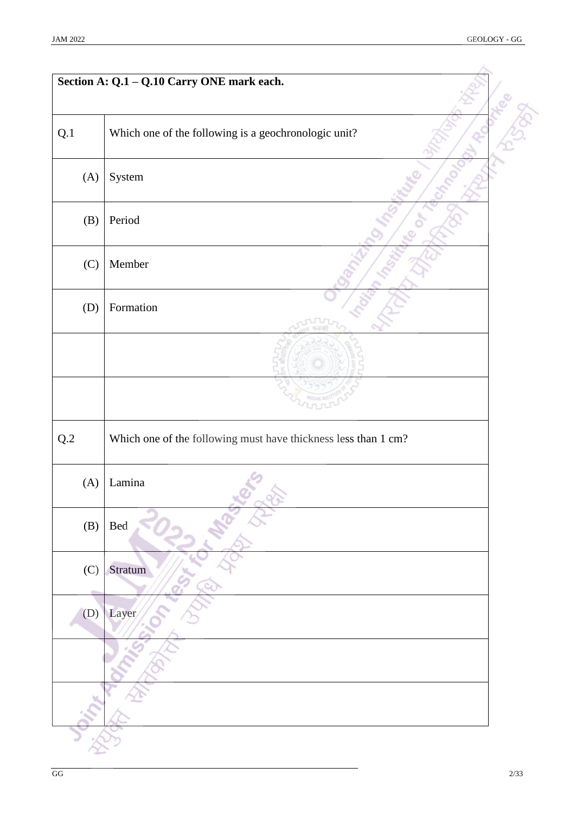|                | Section A: Q.1 - Q.10 Carry ONE mark each.                     |  |
|----------------|----------------------------------------------------------------|--|
|                |                                                                |  |
| Q.1            | Which one of the following is a geochronologic unit?           |  |
| (A)            | System                                                         |  |
| (B)            | Period                                                         |  |
| (C)            | Member                                                         |  |
| (D)            | Formation                                                      |  |
|                |                                                                |  |
|                |                                                                |  |
| $\mathrm{Q}.2$ | Which one of the following must have thickness less than 1 cm? |  |
| (A)            | Lamina                                                         |  |
| (B)            | $\mbox{Bed}$                                                   |  |
| (C)            | Stratum                                                        |  |
| (D)            | Layer                                                          |  |
|                |                                                                |  |
|                |                                                                |  |
|                |                                                                |  |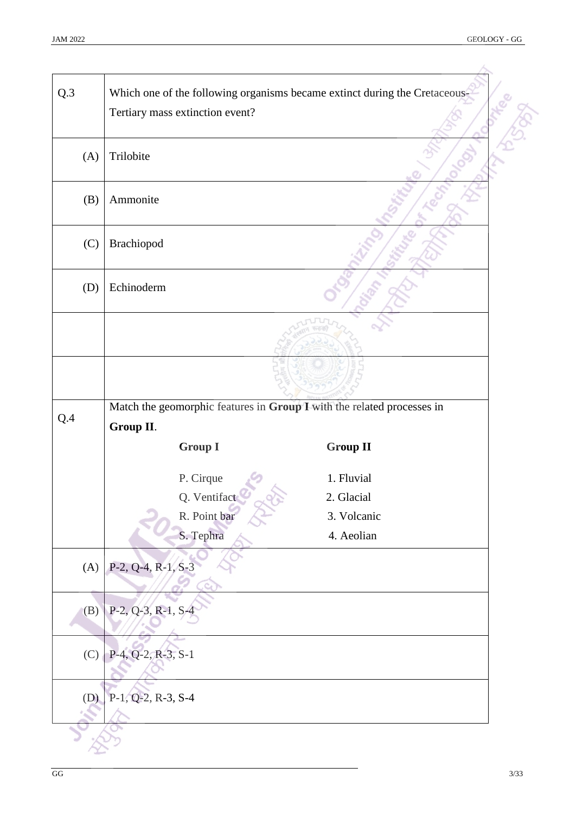| Which one of the following organisms became extinct during the Cretaceous-<br>Tertiary mass extinction event?<br>Trilobite<br>(A)<br>Ammonite<br>(B)<br>Brachiopod<br>(C)<br>Echinoderm<br>(D)<br>Match the geomorphic features in Group I with the related processes in<br>Q.4<br>Group II.<br><b>Group I</b><br><b>Group II</b><br>P. Cirque<br>1. Fluvial<br>Q. Ventifact<br>2. Glacial<br>R. Point bar<br>3. Volcanic<br>S. Tephra<br>4. Aeolian<br>$P-2, Q-4, R-1, S-3$<br>(A)<br>$P-2, Q-3, R-1, S-4$<br>(B)<br>P-4, Q-2, R-3, S-1<br>(C)<br>P-1, Q-2, R-3, S-4<br>(D) |     |  |  |
|------------------------------------------------------------------------------------------------------------------------------------------------------------------------------------------------------------------------------------------------------------------------------------------------------------------------------------------------------------------------------------------------------------------------------------------------------------------------------------------------------------------------------------------------------------------------------|-----|--|--|
|                                                                                                                                                                                                                                                                                                                                                                                                                                                                                                                                                                              | Q.3 |  |  |
|                                                                                                                                                                                                                                                                                                                                                                                                                                                                                                                                                                              |     |  |  |
|                                                                                                                                                                                                                                                                                                                                                                                                                                                                                                                                                                              |     |  |  |
|                                                                                                                                                                                                                                                                                                                                                                                                                                                                                                                                                                              |     |  |  |
|                                                                                                                                                                                                                                                                                                                                                                                                                                                                                                                                                                              |     |  |  |
|                                                                                                                                                                                                                                                                                                                                                                                                                                                                                                                                                                              |     |  |  |
|                                                                                                                                                                                                                                                                                                                                                                                                                                                                                                                                                                              |     |  |  |
|                                                                                                                                                                                                                                                                                                                                                                                                                                                                                                                                                                              |     |  |  |
|                                                                                                                                                                                                                                                                                                                                                                                                                                                                                                                                                                              |     |  |  |
|                                                                                                                                                                                                                                                                                                                                                                                                                                                                                                                                                                              |     |  |  |
|                                                                                                                                                                                                                                                                                                                                                                                                                                                                                                                                                                              |     |  |  |
|                                                                                                                                                                                                                                                                                                                                                                                                                                                                                                                                                                              |     |  |  |
|                                                                                                                                                                                                                                                                                                                                                                                                                                                                                                                                                                              |     |  |  |
|                                                                                                                                                                                                                                                                                                                                                                                                                                                                                                                                                                              |     |  |  |
|                                                                                                                                                                                                                                                                                                                                                                                                                                                                                                                                                                              |     |  |  |
|                                                                                                                                                                                                                                                                                                                                                                                                                                                                                                                                                                              |     |  |  |
|                                                                                                                                                                                                                                                                                                                                                                                                                                                                                                                                                                              |     |  |  |
|                                                                                                                                                                                                                                                                                                                                                                                                                                                                                                                                                                              |     |  |  |
|                                                                                                                                                                                                                                                                                                                                                                                                                                                                                                                                                                              |     |  |  |
|                                                                                                                                                                                                                                                                                                                                                                                                                                                                                                                                                                              |     |  |  |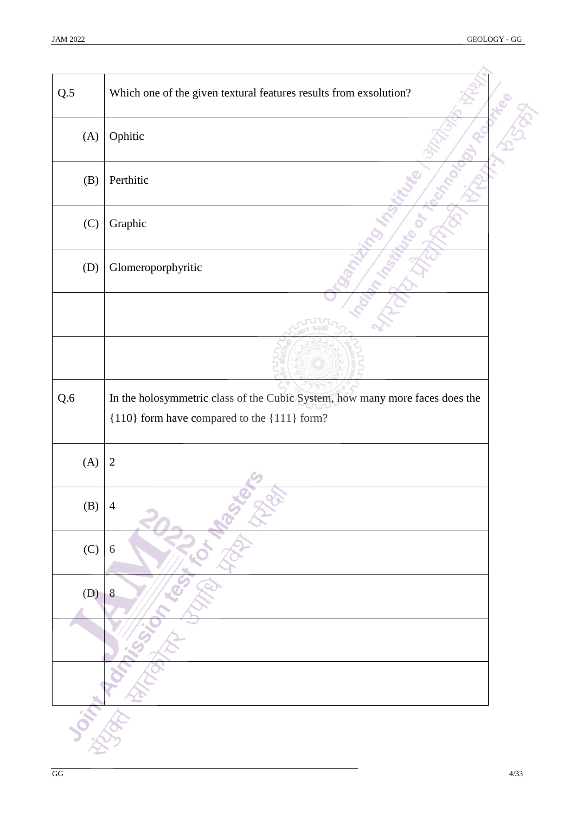| Q.5 | Which one of the given textural features results from exsolution?                                                           |  |
|-----|-----------------------------------------------------------------------------------------------------------------------------|--|
| (A) | Ophitic                                                                                                                     |  |
| (B) | Perthitic                                                                                                                   |  |
| (C) | Graphic                                                                                                                     |  |
| (D) | Glomeroporphyritic                                                                                                          |  |
|     |                                                                                                                             |  |
|     |                                                                                                                             |  |
| Q.6 | In the holosymmetric class of the Cubic System, how many more faces does the<br>{110} form have compared to the {111} form? |  |
| (A) | $\sqrt{2}$                                                                                                                  |  |
| (B) | $\overline{4}$                                                                                                              |  |
| (C) | 6                                                                                                                           |  |
| (D) | 8                                                                                                                           |  |
|     |                                                                                                                             |  |
|     |                                                                                                                             |  |
|     |                                                                                                                             |  |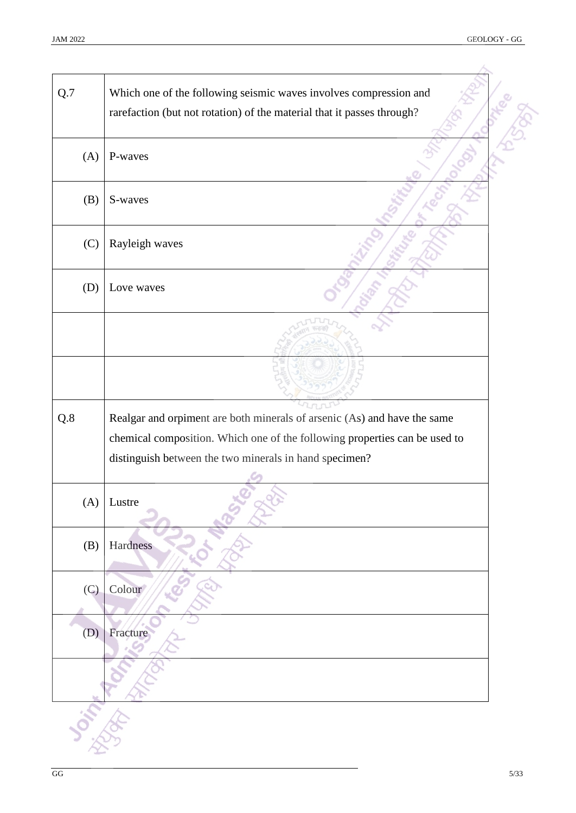| Q.7 | Which one of the following seismic waves involves compression and<br>rarefaction (but not rotation) of the material that it passes through? |  |
|-----|---------------------------------------------------------------------------------------------------------------------------------------------|--|
| (A) | P-waves                                                                                                                                     |  |
| (B) | S-waves                                                                                                                                     |  |
| (C) | Rayleigh waves                                                                                                                              |  |
| (D) | Love waves                                                                                                                                  |  |
|     |                                                                                                                                             |  |
|     |                                                                                                                                             |  |
| Q.8 | Realgar and orpiment are both minerals of arsenic (As) and have the same                                                                    |  |
|     |                                                                                                                                             |  |
|     | chemical composition. Which one of the following properties can be used to                                                                  |  |
|     | distinguish between the two minerals in hand specimen?                                                                                      |  |
| (A) | Lustre                                                                                                                                      |  |
| (B) | Hardness                                                                                                                                    |  |
| (C) | Colour                                                                                                                                      |  |
| (D) | Fracture                                                                                                                                    |  |
|     |                                                                                                                                             |  |
|     |                                                                                                                                             |  |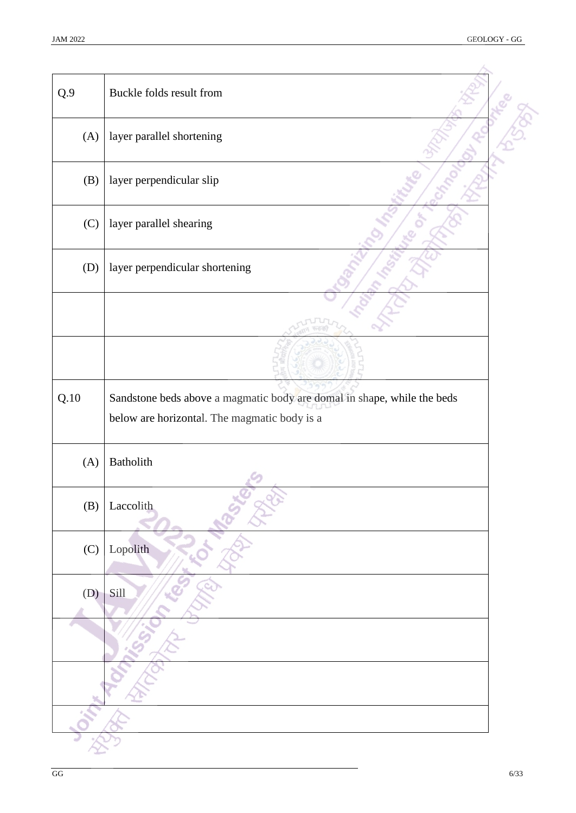| Q.9  | Buckle folds result from                                                                                                |  |
|------|-------------------------------------------------------------------------------------------------------------------------|--|
| (A)  | layer parallel shortening                                                                                               |  |
| (B)  | layer perpendicular slip                                                                                                |  |
| (C)  | layer parallel shearing                                                                                                 |  |
| (D)  | layer perpendicular shortening                                                                                          |  |
|      |                                                                                                                         |  |
|      |                                                                                                                         |  |
| Q.10 | Sandstone beds above a magmatic body are domal in shape, while the beds<br>below are horizontal. The magmatic body is a |  |
| (A)  | Batholith                                                                                                               |  |
| (B)  | Laccolith                                                                                                               |  |
| (C)  | Lopolith                                                                                                                |  |
| (D)  | Sill                                                                                                                    |  |
|      |                                                                                                                         |  |
|      |                                                                                                                         |  |
|      |                                                                                                                         |  |
|      |                                                                                                                         |  |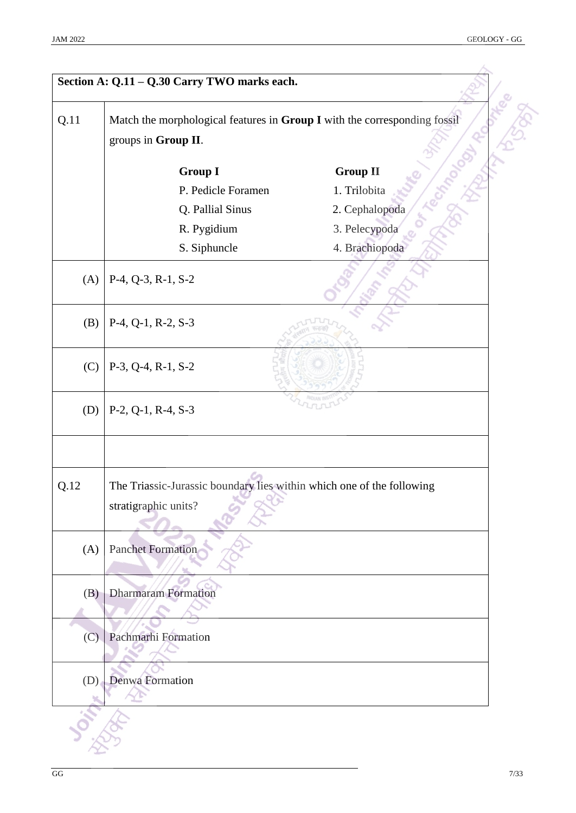| Q.11 | Match the morphological features in Group I with the corresponding fossil<br>groups in Group II. |                 |
|------|--------------------------------------------------------------------------------------------------|-----------------|
|      | <b>Group I</b>                                                                                   | <b>Group II</b> |
|      | P. Pedicle Foramen                                                                               | 1. Trilobita    |
|      | Q. Pallial Sinus                                                                                 | 2. Cephalopoda  |
|      | R. Pygidium                                                                                      | 3. Pelecypoda   |
|      | S. Siphuncle                                                                                     | 4. Brachiopoda  |
| (A)  | P-4, Q-3, R-1, S-2                                                                               |                 |
| (B)  | P-4, Q-1, R-2, S-3                                                                               |                 |
| (C)  | P-3, Q-4, R-1, S-2                                                                               |                 |
| (D)  | P-2, Q-1, R-4, S-3                                                                               |                 |
| Q.12 | The Triassic-Jurassic boundary lies within which one of the following<br>stratigraphic units?    |                 |
| (A)  | <b>Panchet Formation</b>                                                                         |                 |
| (B)  | <b>Dharmaram Formation</b>                                                                       |                 |
| (C)  | Pachmarhi Formation                                                                              |                 |
| (D)  | Denwa Formation                                                                                  |                 |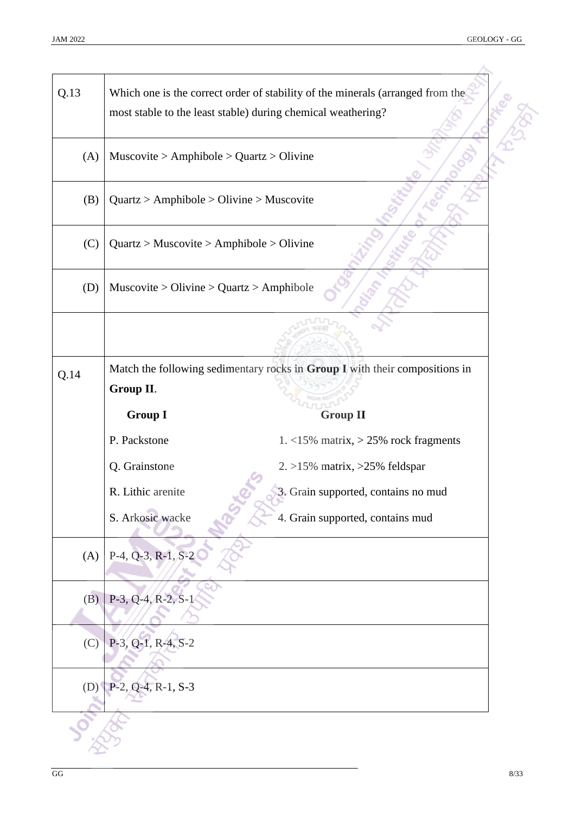| Q.13 |                                            | Which one is the correct order of stability of the minerals (arranged from the<br>most stable to the least stable) during chemical weathering? |  |
|------|--------------------------------------------|------------------------------------------------------------------------------------------------------------------------------------------------|--|
| (A)  | $Muscovite > Amphibole > Quartz > Olivine$ |                                                                                                                                                |  |
| (B)  |                                            | $Quartz > Amphibole > Oliveira > Museum$                                                                                                       |  |
| (C)  |                                            | $Quartz > Muscovite > Amphibole > Olivine$                                                                                                     |  |
| (D)  | $Muscovite > Olivine > Quartz > Amphibole$ |                                                                                                                                                |  |
|      |                                            |                                                                                                                                                |  |
| Q.14 |                                            | Match the following sedimentary rocks in Group I with their compositions in                                                                    |  |
|      | Group II.                                  |                                                                                                                                                |  |
|      | <b>Group I</b>                             | <b>Group II</b>                                                                                                                                |  |
|      | P. Packstone                               | 1. $<$ 15% matrix, $>$ 25% rock fragments                                                                                                      |  |
|      | Q. Grainstone                              | $2. >15\%$ matrix, $>25\%$ feldspar                                                                                                            |  |
|      | R. Lithic arenite                          | 3. Grain supported, contains no mud                                                                                                            |  |
|      | S. Arkosic wacke                           | 4. Grain supported, contains mud                                                                                                               |  |
| (A)  | $P-4, Q-3, R-1, S-2$                       |                                                                                                                                                |  |
| (B)  | P-3, Q-4, R-2, S-1                         |                                                                                                                                                |  |
| (C)  | P-3, Q-1, R-4, S-2                         |                                                                                                                                                |  |
| (D)  | $P-2, Q-4, R-1, S-3$                       |                                                                                                                                                |  |
|      |                                            |                                                                                                                                                |  |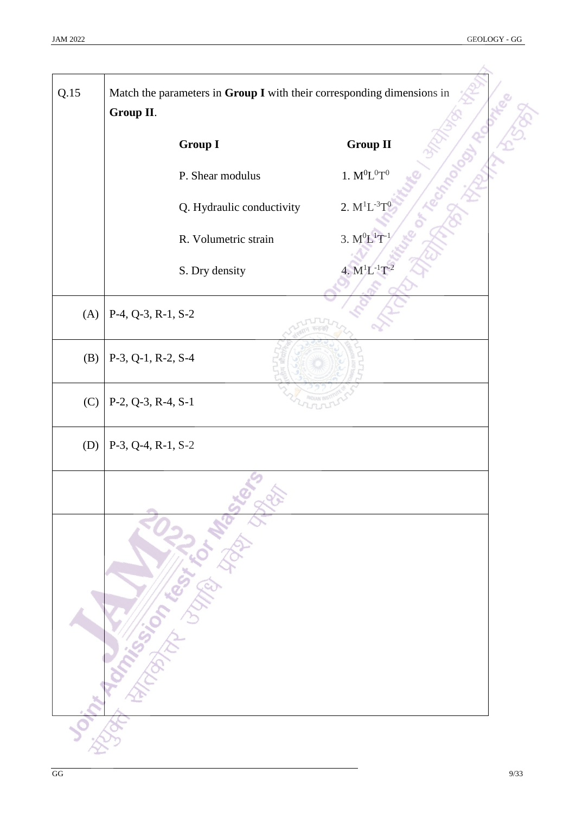| Q.15 | Match the parameters in Group I with their corresponding dimensions in<br>Group II.                                                                                                                                                  |                       |  |
|------|--------------------------------------------------------------------------------------------------------------------------------------------------------------------------------------------------------------------------------------|-----------------------|--|
|      | <b>Group I</b>                                                                                                                                                                                                                       | <b>Group II</b>       |  |
|      | P. Shear modulus                                                                                                                                                                                                                     | $1. M^0L^0T^0$        |  |
|      | Q. Hydraulic conductivity                                                                                                                                                                                                            | 2. $M^{1}L^{-3}T^{0}$ |  |
|      | R. Volumetric strain                                                                                                                                                                                                                 | 3. $M^0L^1T^{-1}$     |  |
|      | S. Dry density                                                                                                                                                                                                                       | 4. $M^{1}L^{-1}T^{-}$ |  |
| (A)  | P-4, Q-3, R-1, S-2                                                                                                                                                                                                                   |                       |  |
| (B)  | P-3, Q-1, R-2, S-4                                                                                                                                                                                                                   |                       |  |
| (C)  | $P-2, Q-3, R-4, S-1$                                                                                                                                                                                                                 |                       |  |
| (D)  | $P-3$ , Q-4, R-1, S-2                                                                                                                                                                                                                |                       |  |
|      |                                                                                                                                                                                                                                      |                       |  |
|      |                                                                                                                                                                                                                                      |                       |  |
|      | <b>Joint Tommer This Science of the Comptant of the Comptant of the Comptant of the Comptant of the Comptant of the Comptant of the Comptant of the Comptant of the Comptant of the Comptant of the Comptant of the Comptant of </b> |                       |  |
|      |                                                                                                                                                                                                                                      |                       |  |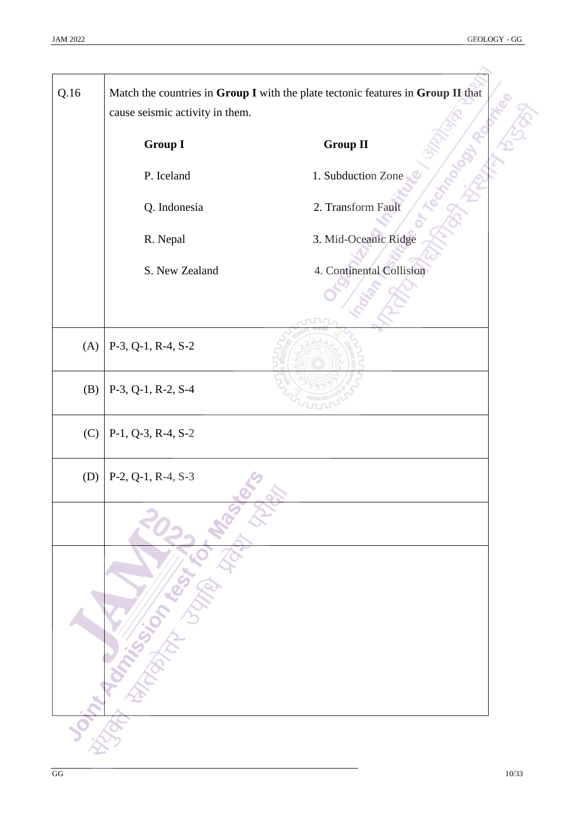| Q.16 | cause seismic activity in them.       | Match the countries in Group I with the plate tectonic features in Group II that |
|------|---------------------------------------|----------------------------------------------------------------------------------|
|      | <b>Group I</b>                        | <b>Group II</b>                                                                  |
|      | P. Iceland                            | 1. Subduction Zone                                                               |
|      | Q. Indonesia                          | 2. Transform Fault                                                               |
|      | R. Nepal                              | 3. Mid-Oceanic Ridge                                                             |
|      | S. New Zealand                        | 4. Continental Collision                                                         |
|      |                                       |                                                                                  |
| (A)  | $P-3, Q-1, R-4, S-2$                  |                                                                                  |
| (B)  | P-3, Q-1, R-2, S-4                    |                                                                                  |
| (C)  | P-1, Q-3, R-4, S-2                    |                                                                                  |
|      |                                       |                                                                                  |
|      |                                       |                                                                                  |
|      | Joint Marien Cash Cash of Marien Rich |                                                                                  |
|      |                                       |                                                                                  |
|      |                                       |                                                                                  |
|      |                                       |                                                                                  |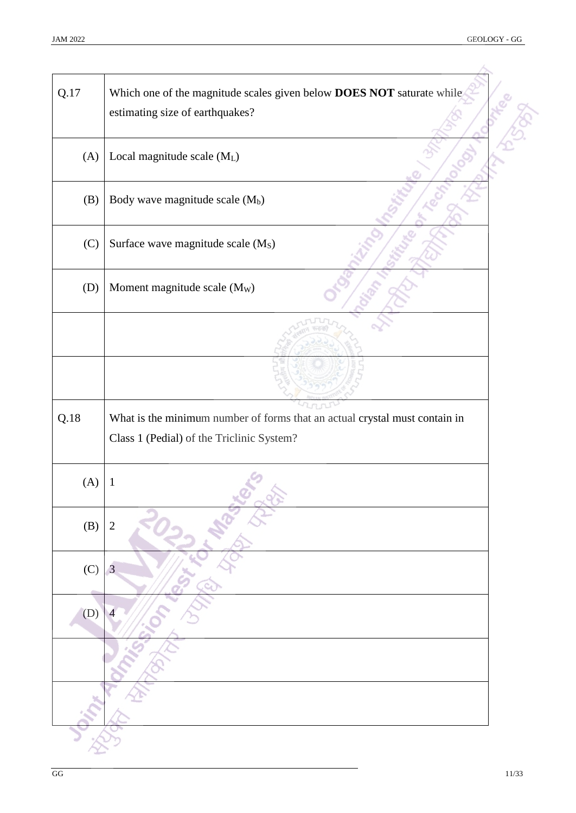| Q.17 | Which one of the magnitude scales given below DOES NOT saturate while<br>estimating size of earthquakes?                |
|------|-------------------------------------------------------------------------------------------------------------------------|
| (A)  | Local magnitude scale (ML)                                                                                              |
| (B)  | Body wave magnitude scale (M <sub>b</sub> )                                                                             |
| (C)  | Surface wave magnitude scale (M <sub>S</sub> )                                                                          |
| (D)  | Moment magnitude scale (M <sub>W</sub> )                                                                                |
|      |                                                                                                                         |
|      |                                                                                                                         |
| Q.18 | What is the minimum number of forms that an actual crystal must contain in<br>Class 1 (Pedial) of the Triclinic System? |
| (A)  | $\mathbf{1}$                                                                                                            |
| (B)  | $\overline{2}$                                                                                                          |
| (C)  |                                                                                                                         |
|      | 3                                                                                                                       |
| (D)  |                                                                                                                         |
|      |                                                                                                                         |
|      |                                                                                                                         |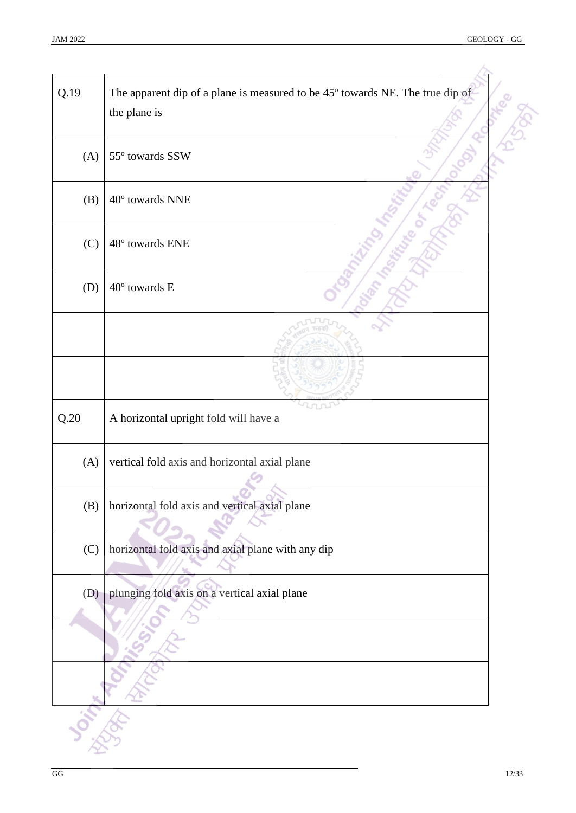i,

| Q.19 | The apparent dip of a plane is measured to be 45° towards NE. The true dip of<br>the plane is |
|------|-----------------------------------------------------------------------------------------------|
| (A)  | 55° towards SSW                                                                               |
| (B)  | 40° towards NNE                                                                               |
| (C)  | 48° towards ENE                                                                               |
| (D)  | 40° towards E                                                                                 |
|      |                                                                                               |
|      |                                                                                               |
| Q.20 | A horizontal upright fold will have a                                                         |
| (A)  | vertical fold axis and horizontal axial plane                                                 |
| (B)  | horizontal fold axis and vertical axial plane                                                 |
| (C)  | horizontal fold axis and axial plane with any dip                                             |
| (D)  | plunging fold axis on a vertical axial plane                                                  |
|      |                                                                                               |
|      |                                                                                               |
|      |                                                                                               |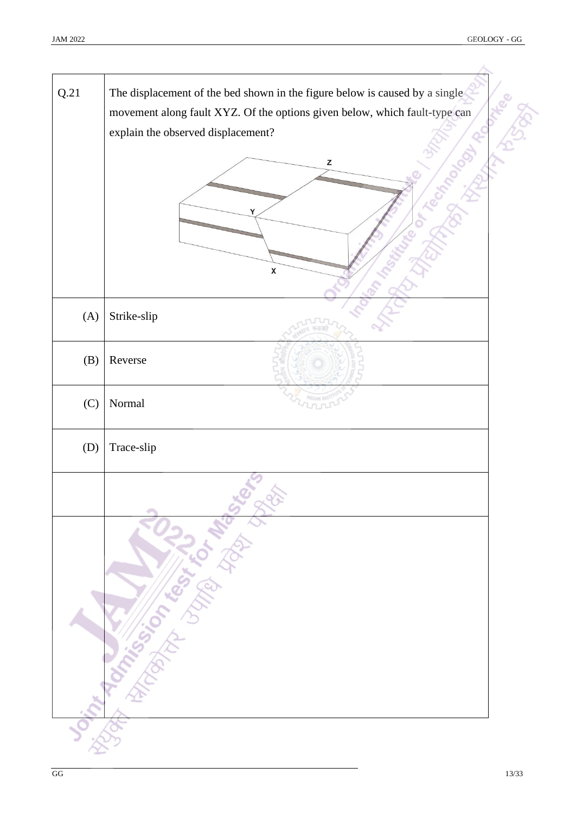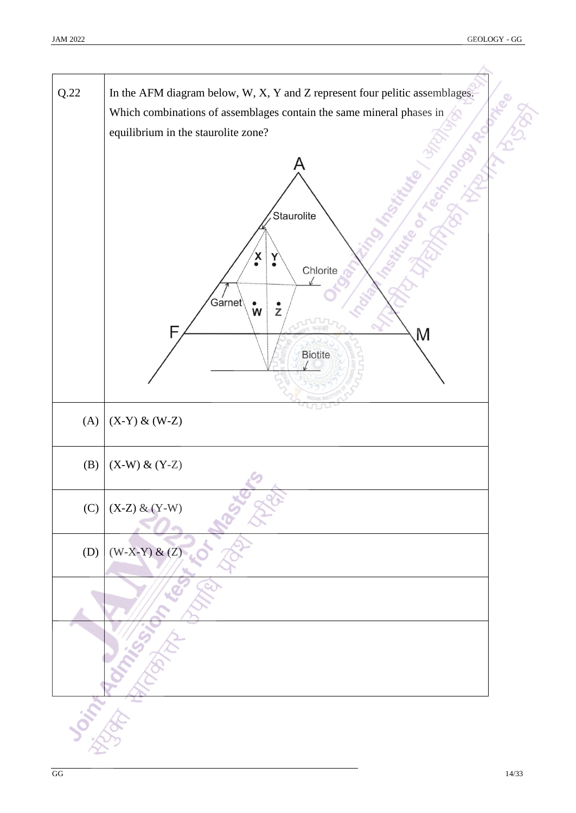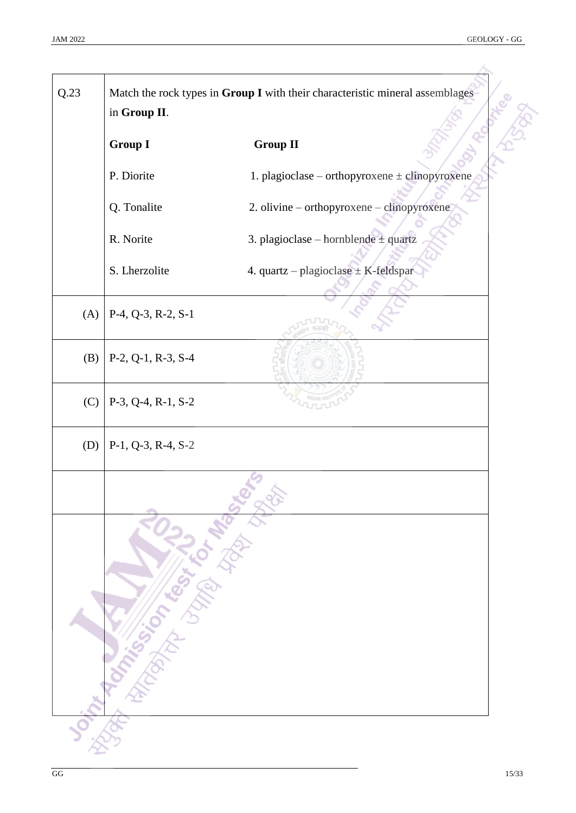| Q.23 | in Group II.                            | Match the rock types in Group I with their characteristic mineral assemblages |
|------|-----------------------------------------|-------------------------------------------------------------------------------|
|      | <b>Group I</b>                          | <b>Group II</b>                                                               |
|      | P. Diorite                              | 1. plagioclase – orthopyroxene $\pm$ clinopyroxene                            |
|      | Q. Tonalite                             | 2. olivine - orthopyroxene - clinopyroxene                                    |
|      | R. Norite                               | 3. plagioclase – hornblende $\pm$ quartz                                      |
|      | S. Lherzolite                           | 4. quartz - plagioclase $\pm$ K-feldspar                                      |
| (A)  | $P-4$ , Q-3, R-2, S-1                   |                                                                               |
| (B)  | $P-2$ , $Q-1$ , $R-3$ , $S-4$           |                                                                               |
| (C)  | $P-3$ , Q-4, R-1, S-2                   |                                                                               |
| (D)  | $P-1$ , Q-3, R-4, S-2                   |                                                                               |
|      | Joint Milliam Capture of Manufacture of |                                                                               |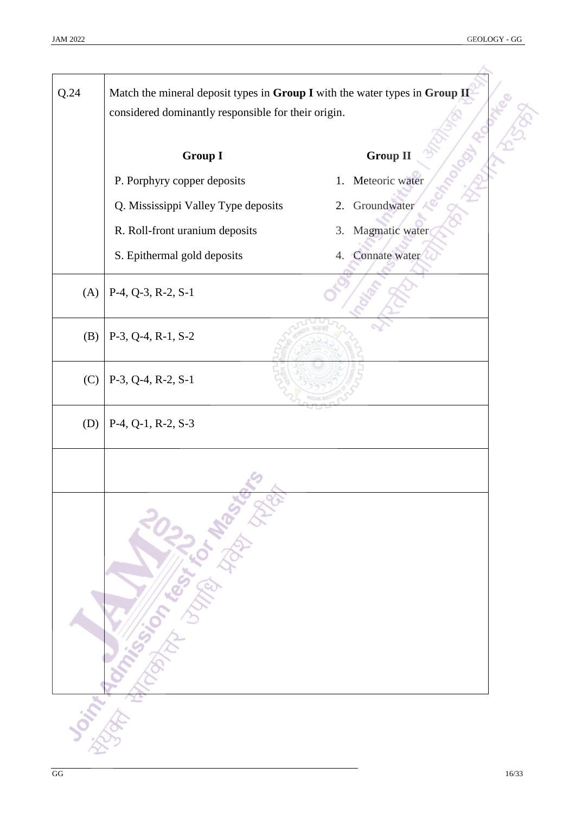| Q.24 | Match the mineral deposit types in Group I with the water types in Group II<br>considered dominantly responsible for their origin. |                      |
|------|------------------------------------------------------------------------------------------------------------------------------------|----------------------|
|      | <b>Group I</b>                                                                                                                     | <b>Group II</b>      |
|      | P. Porphyry copper deposits                                                                                                        | Meteoric water<br>1. |
|      | Q. Mississippi Valley Type deposits                                                                                                | Groundwater<br>2.    |
|      | R. Roll-front uranium deposits                                                                                                     | Magmatic water<br>3. |
|      | S. Epithermal gold deposits                                                                                                        | 4. Connate water     |
| (A)  | $P-4$ , Q-3, R-2, S-1                                                                                                              |                      |
| (B)  | $P-3$ , Q-4, R-1, S-2                                                                                                              |                      |
| (C)  | $P-3$ , Q-4, R-2, S-1                                                                                                              |                      |
| (D)  | $P-4$ , $Q-1$ , $R-2$ , $S-3$                                                                                                      |                      |
|      | <b>Joint Roman Strange Report For Management</b>                                                                                   |                      |
|      |                                                                                                                                    |                      |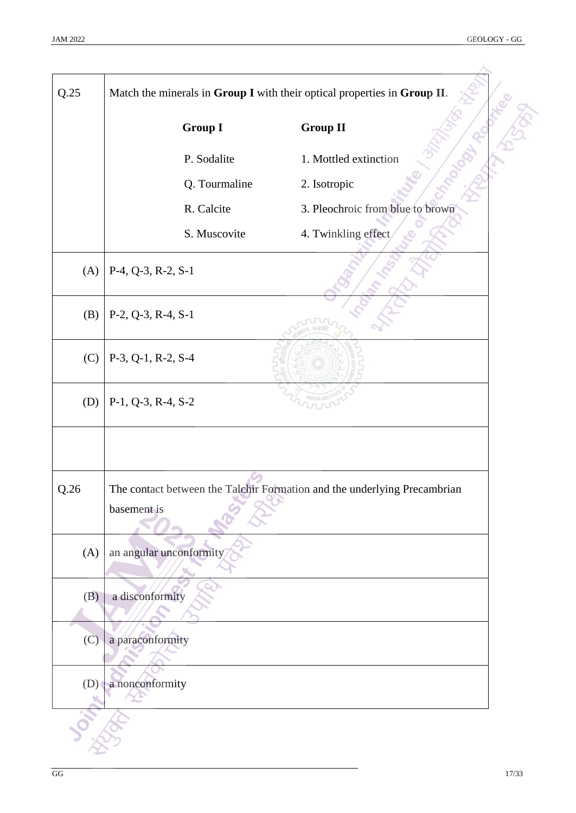| Q.25 | Match the minerals in Group I with their optical properties in Group II. |                                                                          |  |
|------|--------------------------------------------------------------------------|--------------------------------------------------------------------------|--|
|      | <b>Group I</b><br><b>Group II</b>                                        |                                                                          |  |
|      | 1. Mottled extinction<br>P. Sodalite                                     |                                                                          |  |
|      | Q. Tourmaline                                                            | 2. Isotropic                                                             |  |
|      | R. Calcite                                                               | 3. Pleochroic from blue to brown                                         |  |
|      | S. Muscovite                                                             | 4. Twinkling effect                                                      |  |
| (A)  | $P-4$ , Q-3, R-2, S-1                                                    |                                                                          |  |
| (B)  | $P-2, Q-3, R-4, S-1$                                                     |                                                                          |  |
| (C)  | $P-3$ , Q-1, R-2, S-4                                                    |                                                                          |  |
| (D)  | $P-1$ , Q-3, R-4, S-2                                                    |                                                                          |  |
|      |                                                                          |                                                                          |  |
|      |                                                                          |                                                                          |  |
| Q.26 | basement is                                                              | The contact between the Talchir Formation and the underlying Precambrian |  |
|      |                                                                          |                                                                          |  |
| (A)  | an angular unconformity                                                  |                                                                          |  |
| (B)  | a disconformity                                                          |                                                                          |  |
| (C)  | a paraconformity                                                         |                                                                          |  |
|      |                                                                          |                                                                          |  |
| (D)  | a nonconformity                                                          |                                                                          |  |
|      |                                                                          |                                                                          |  |
|      |                                                                          |                                                                          |  |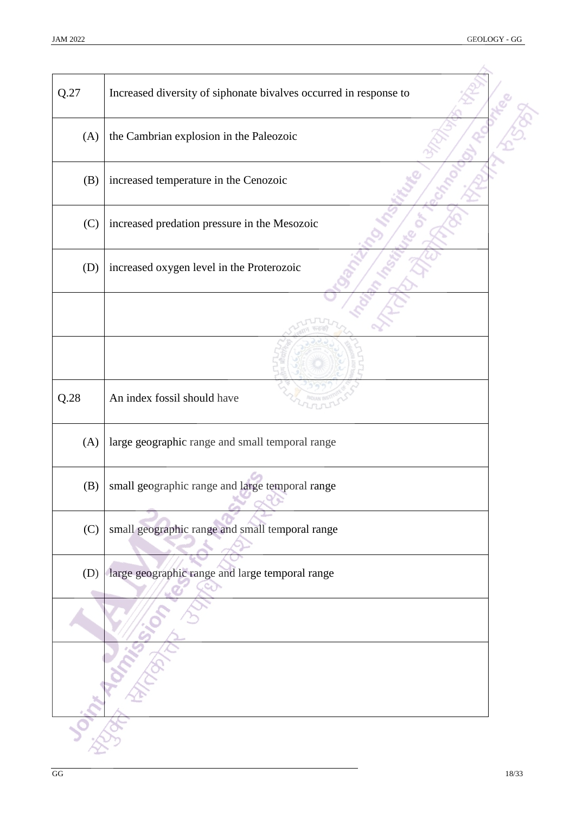| Q.27 | Increased diversity of siphonate bivalves occurred in response to |  |
|------|-------------------------------------------------------------------|--|
| (A)  | the Cambrian explosion in the Paleozoic                           |  |
| (B)  | increased temperature in the Cenozoic                             |  |
| (C)  | increased predation pressure in the Mesozoic                      |  |
| (D)  | increased oxygen level in the Proterozoic                         |  |
|      |                                                                   |  |
|      |                                                                   |  |
| Q.28 | An index fossil should have                                       |  |
| (A)  | large geographic range and small temporal range                   |  |
| (B)  | small geographic range and large temporal range                   |  |
| (C)  | small geographic range and small temporal range                   |  |
| (D)  | large geographic range and large temporal range                   |  |
|      |                                                                   |  |
|      |                                                                   |  |
|      |                                                                   |  |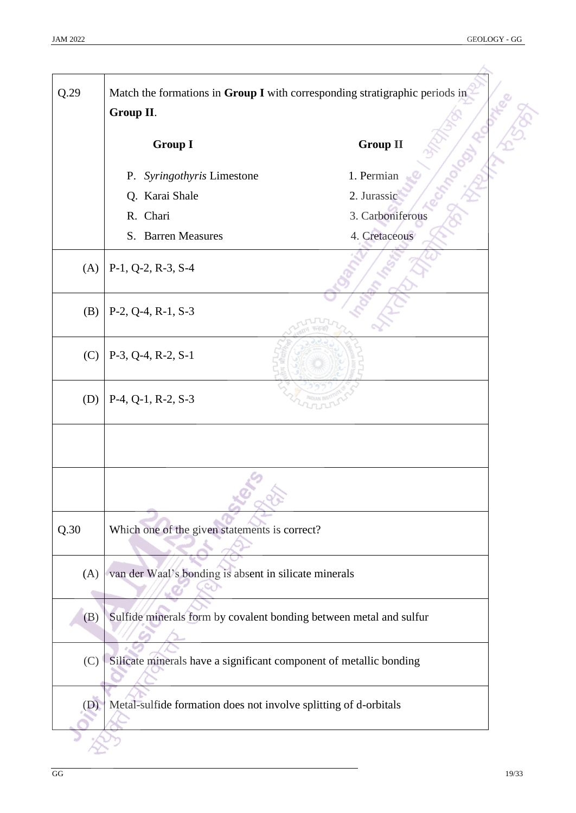| Q.29 | Match the formations in Group I with corresponding stratigraphic periods in<br>Group II. |                  |
|------|------------------------------------------------------------------------------------------|------------------|
|      | <b>Group I</b>                                                                           | <b>Group II</b>  |
|      | P. Syringothyris Limestone                                                               | 1. Permian       |
|      | Q. Karai Shale                                                                           | 2. Jurassic      |
|      | R. Chari                                                                                 | 3. Carboniferous |
|      | S. Barren Measures                                                                       | 4. Cretaceous    |
| (A)  | P-1, Q-2, R-3, S-4                                                                       |                  |
| (B)  | $P-2, Q-4, R-1, S-3$                                                                     |                  |
| (C)  | $P-3$ , Q-4, R-2, S-1                                                                    |                  |
| (D)  | $P-4$ , $Q-1$ , $R-2$ , $S-3$                                                            |                  |
|      |                                                                                          |                  |
|      |                                                                                          |                  |
| Q.30 | Which one of the given statements is correct?                                            |                  |
| (A)  | van der Waal's bonding is absent in silicate minerals                                    |                  |
| (B)  | Sulfide minerals form by covalent bonding between metal and sulfur                       |                  |
| (C)  | Silicate minerals have a significant component of metallic bonding                       |                  |
| (D)  | Metal-sulfide formation does not involve splitting of d-orbitals                         |                  |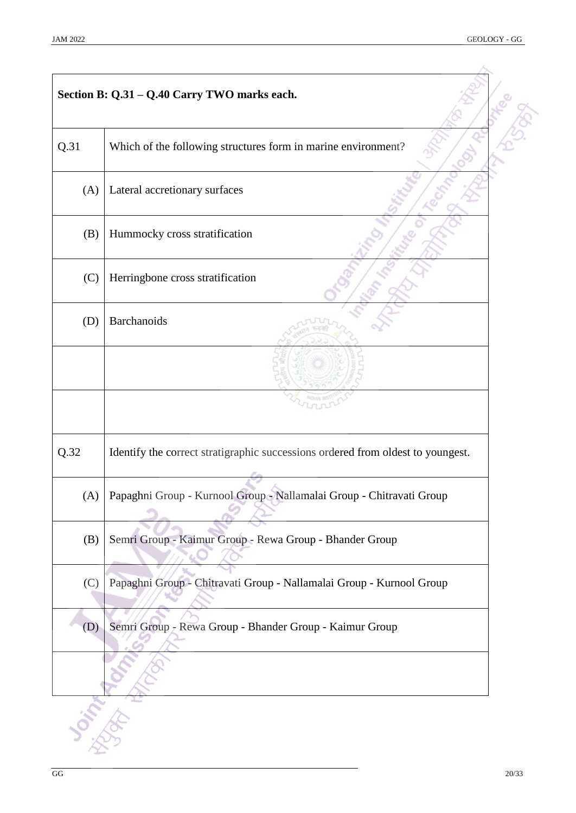|      | Section B: Q.31 - Q.40 Carry TWO marks each.                                    |  |
|------|---------------------------------------------------------------------------------|--|
| Q.31 | Which of the following structures form in marine environment?                   |  |
| (A)  | Lateral accretionary surfaces                                                   |  |
| (B)  | Hummocky cross stratification                                                   |  |
| (C)  | Herringbone cross stratification                                                |  |
| (D)  | Barchanoids                                                                     |  |
|      |                                                                                 |  |
|      |                                                                                 |  |
| Q.32 | Identify the correct stratigraphic successions ordered from oldest to youngest. |  |
|      | (A) Papaghni Group - Kurnool Group - Nallamalai Group - Chitravati Group        |  |
| (B)  | Semri Group - Kaimur Group - Rewa Group - Bhander Group                         |  |
| (C)  | Papaghni Group - Chitravati Group - Nallamalai Group - Kurnool Group            |  |
| (D)  | Semri Group - Rewa Group - Bhander Group - Kaimur Group                         |  |
|      |                                                                                 |  |
|      |                                                                                 |  |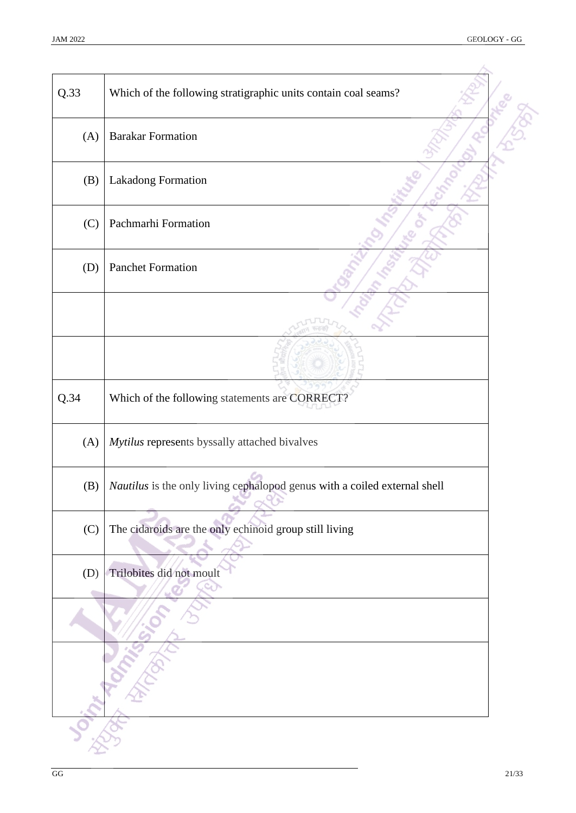| Q.33 | Which of the following stratigraphic units contain coal seams?            |
|------|---------------------------------------------------------------------------|
| (A)  | <b>Barakar Formation</b>                                                  |
| (B)  | Lakadong Formation                                                        |
| (C)  | Pachmarhi Formation                                                       |
| (D)  | <b>Panchet Formation</b>                                                  |
|      |                                                                           |
|      |                                                                           |
| Q.34 | Which of the following statements are CORRECT?                            |
| (A)  | Mytilus represents byssally attached bivalves                             |
| (B)  | Nautilus is the only living cephalopod genus with a coiled external shell |
| (C)  | The cidaroids are the only echinoid group still living                    |
| (D)  | Trilobites did not moult                                                  |
|      |                                                                           |
|      |                                                                           |
|      |                                                                           |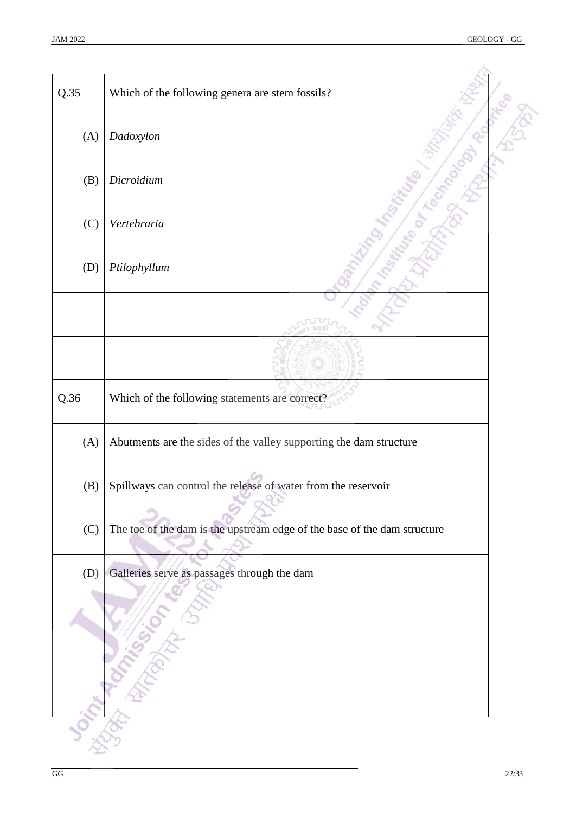| Q.35 | Which of the following genera are stem fossils?                          |  |
|------|--------------------------------------------------------------------------|--|
| (A)  | Dadoxylon                                                                |  |
| (B)  | Dicroidium                                                               |  |
| (C)  | Vertebraria                                                              |  |
| (D)  | Ptilophyllum                                                             |  |
|      |                                                                          |  |
|      |                                                                          |  |
| Q.36 | Which of the following statements are correct?                           |  |
| (A)  | Abutments are the sides of the valley supporting the dam structure       |  |
| (B)  | Spillways can control the release of water from the reservoir            |  |
| (C)  | The toe of the dam is the upstream edge of the base of the dam structure |  |
| (D)  | Galleries serve as passages through the dam                              |  |
|      |                                                                          |  |
|      |                                                                          |  |
|      |                                                                          |  |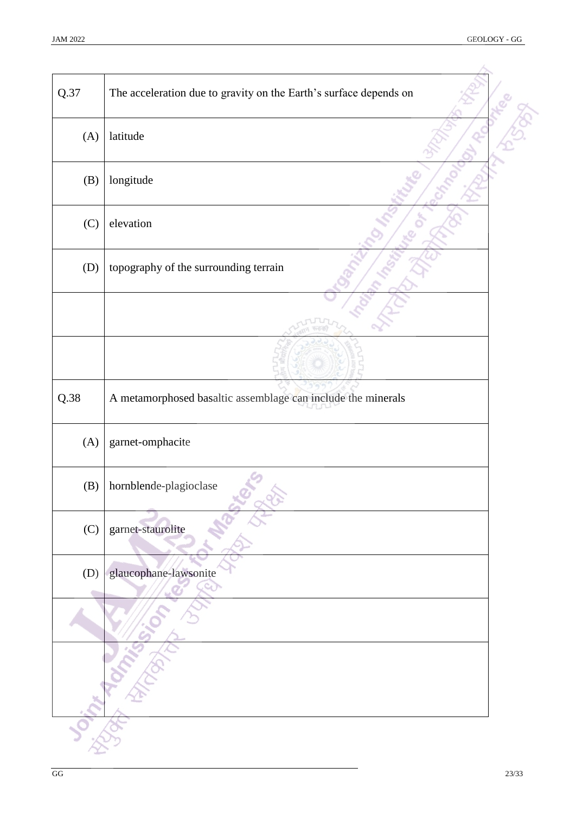| Q.37 | The acceleration due to gravity on the Earth's surface depends on |  |
|------|-------------------------------------------------------------------|--|
| (A)  | latitude                                                          |  |
| (B)  | longitude                                                         |  |
| (C)  | elevation                                                         |  |
| (D)  | topography of the surrounding terrain                             |  |
|      |                                                                   |  |
|      |                                                                   |  |
| Q.38 | A metamorphosed basaltic assemblage can include the minerals      |  |
| (A)  | garnet-omphacite                                                  |  |
| (B)  | hornblende-plagioclase                                            |  |
| (C)  | garnet-staurolite                                                 |  |
| (D)  | glaucophane-lawsonite                                             |  |
|      |                                                                   |  |
|      |                                                                   |  |
|      |                                                                   |  |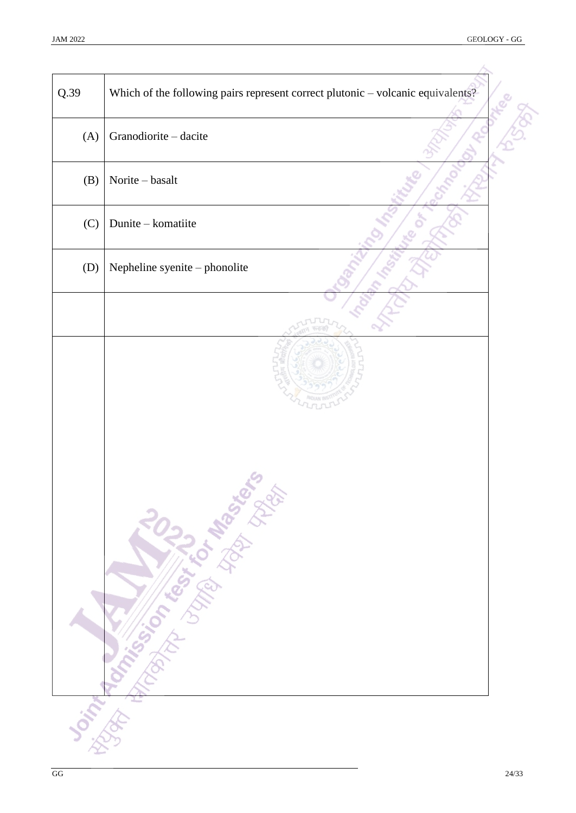| Q.39 | Which of the following pairs represent correct plutonic - volcanic equivalents? |
|------|---------------------------------------------------------------------------------|
| (A)  | Granodiorite - dacite                                                           |
| (B)  | Norite - basalt                                                                 |
| (C)  | Dunite - komatiite                                                              |
| (D)  | Nepheline syenite - phonolite                                                   |
|      |                                                                                 |
|      | <b>Scriptor Montgomery Library Repair</b>                                       |
|      |                                                                                 |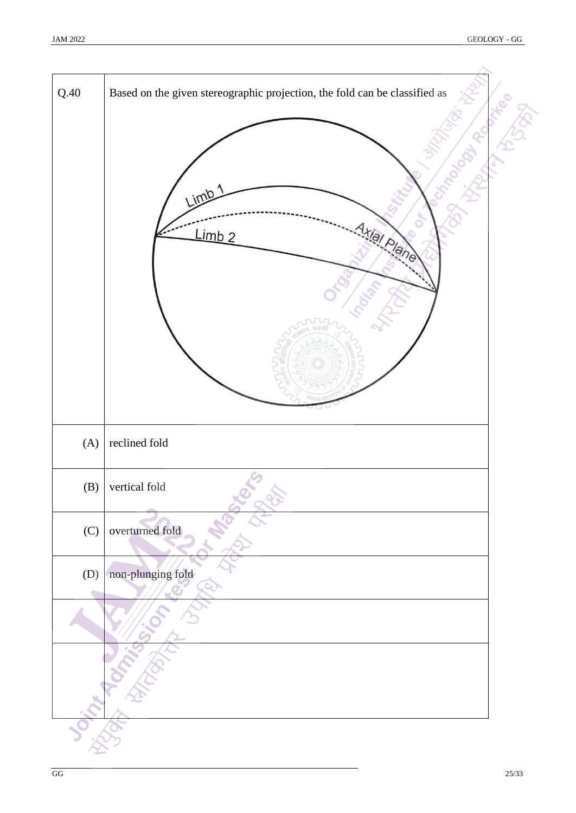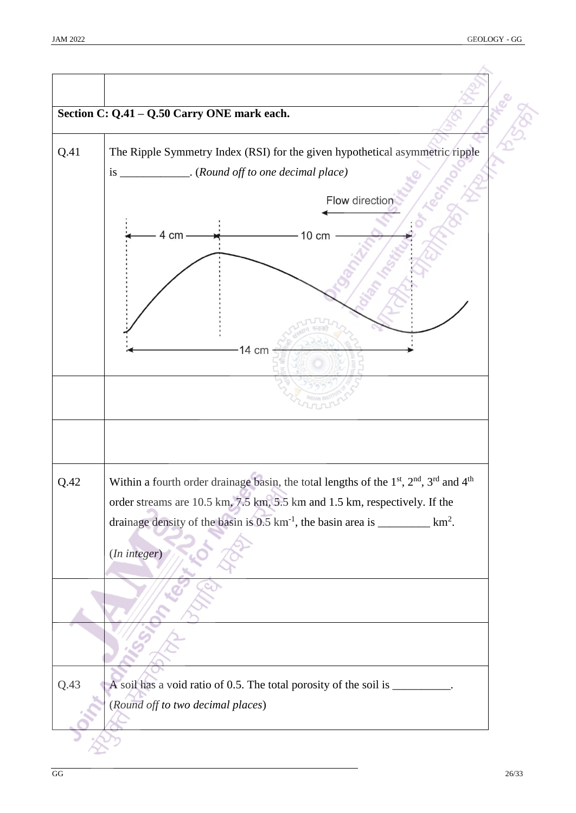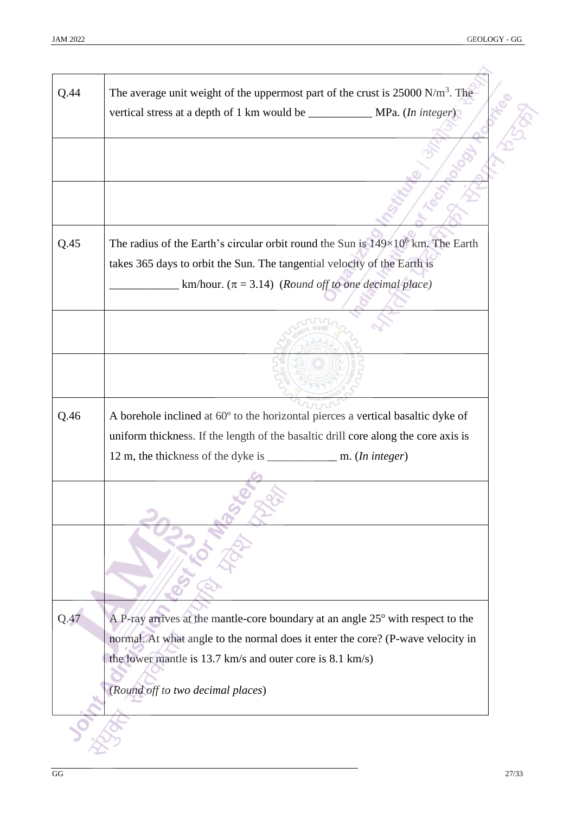|      | The average unit weight of the uppermost part of the crust is $25000 \text{ N/m}^3$ . The                                                    |  |
|------|----------------------------------------------------------------------------------------------------------------------------------------------|--|
|      |                                                                                                                                              |  |
|      |                                                                                                                                              |  |
|      |                                                                                                                                              |  |
|      |                                                                                                                                              |  |
| Q.45 | The radius of the Earth's circular orbit round the Sun is $149\times10^6$ km. The Earth                                                      |  |
|      | takes 365 days to orbit the Sun. The tangential velocity of the Earth is                                                                     |  |
|      | km/hour. $(\pi = 3.14)$ (Round off to one decimal place)                                                                                     |  |
|      |                                                                                                                                              |  |
|      |                                                                                                                                              |  |
| Q.46 | A borehole inclined at 60° to the horizontal pierces a vertical basaltic dyke of                                                             |  |
|      | uniform thickness. If the length of the basaltic drill core along the core axis is                                                           |  |
|      |                                                                                                                                              |  |
|      |                                                                                                                                              |  |
| Q.47 | A P-ray arrives at the mantle-core boundary at an angle 25° with respect to the                                                              |  |
|      | normal. At what angle to the normal does it enter the core? (P-wave velocity in<br>the lower mantle is 13.7 km/s and outer core is 8.1 km/s) |  |
|      | (Round off to two decimal places)                                                                                                            |  |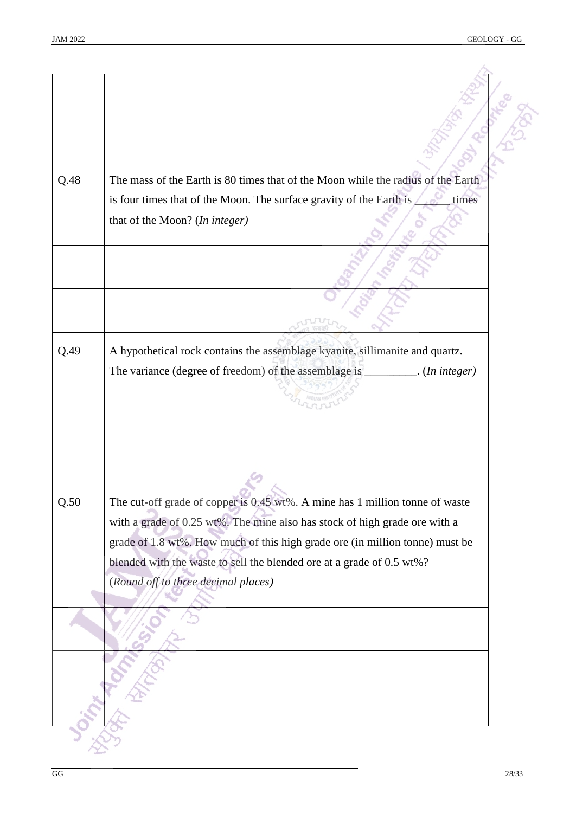| Q.48 | The mass of the Earth is 80 times that of the Moon while the radius of the Earth |
|------|----------------------------------------------------------------------------------|
|      | is four times that of the Moon. The surface gravity of the Earth is<br>times     |
|      | that of the Moon? (In integer)                                                   |
|      |                                                                                  |
|      |                                                                                  |
|      |                                                                                  |
|      |                                                                                  |
|      |                                                                                  |
| Q.49 | A hypothetical rock contains the assemblage kyanite, sillimanite and quartz.     |
|      | The variance (degree of freedom) of the assemblage is _________. (In integer)    |
|      |                                                                                  |
|      |                                                                                  |
|      |                                                                                  |
|      |                                                                                  |
|      |                                                                                  |
| Q.50 | The cut-off grade of copper is 0.45 wt%. A mine has 1 million tonne of waste     |
|      | with a grade of 0.25 wt%. The mine also has stock of high grade ore with a       |
|      | grade of 1.8 wt%. How much of this high grade ore (in million tonne) must be     |
|      | blended with the waste to sell the blended ore at a grade of 0.5 wt%?            |
|      | (Round off to three decimal places)                                              |
|      |                                                                                  |
|      |                                                                                  |
|      |                                                                                  |
|      |                                                                                  |
|      |                                                                                  |
|      |                                                                                  |
|      |                                                                                  |
|      |                                                                                  |
|      |                                                                                  |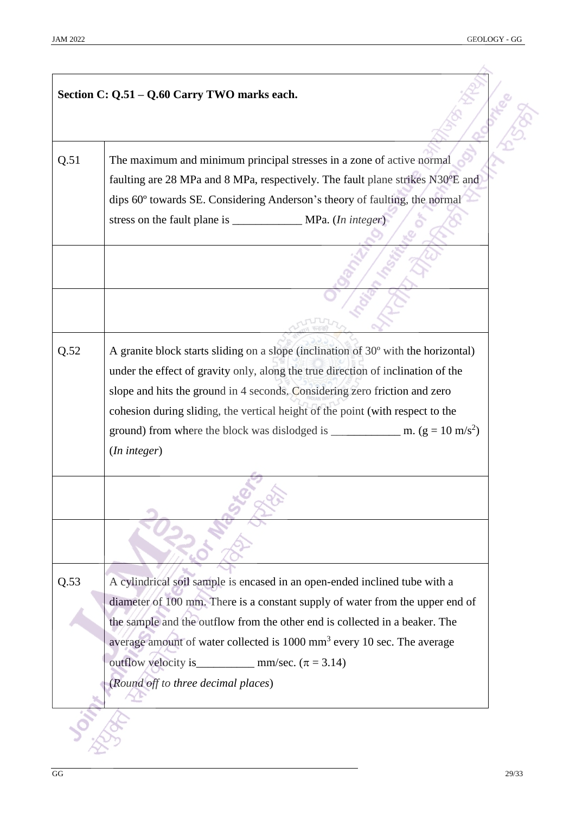|      | Section C: Q.51 - Q.60 Carry TWO marks each.                                                                                                                                                                                                                                                                                                                             |
|------|--------------------------------------------------------------------------------------------------------------------------------------------------------------------------------------------------------------------------------------------------------------------------------------------------------------------------------------------------------------------------|
| Q.51 | The maximum and minimum principal stresses in a zone of active normal<br>faulting are 28 MPa and 8 MPa, respectively. The fault plane strikes N30°E and<br>dips 60° towards SE. Considering Anderson's theory of faulting, the normal<br>stress on the fault plane is ________________ MPa. (In integer)                                                                 |
|      |                                                                                                                                                                                                                                                                                                                                                                          |
| Q.52 | A granite block starts sliding on a slope (inclination of 30° with the horizontal)<br>under the effect of gravity only, along the true direction of inclination of the<br>slope and hits the ground in 4 seconds. Considering zero friction and zero<br>cohesion during sliding, the vertical height of the point (with respect to the<br>(In integer)                   |
|      |                                                                                                                                                                                                                                                                                                                                                                          |
| Q.53 | A cylindrical soil sample is encased in an open-ended inclined tube with a<br>diameter of 100 mm. There is a constant supply of water from the upper end of<br>the sample and the outflow from the other end is collected in a beaker. The<br>average amount of water collected is 1000 mm <sup>3</sup> every 10 sec. The average<br>(Round off to three decimal places) |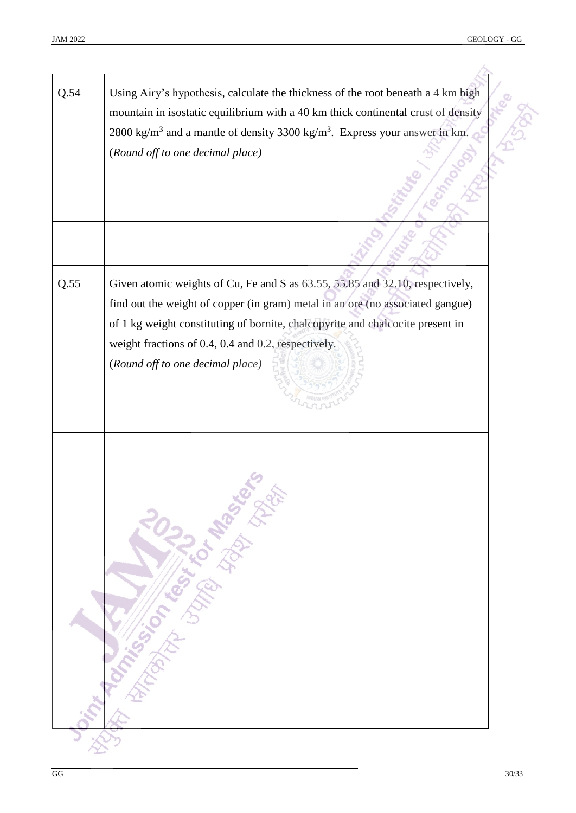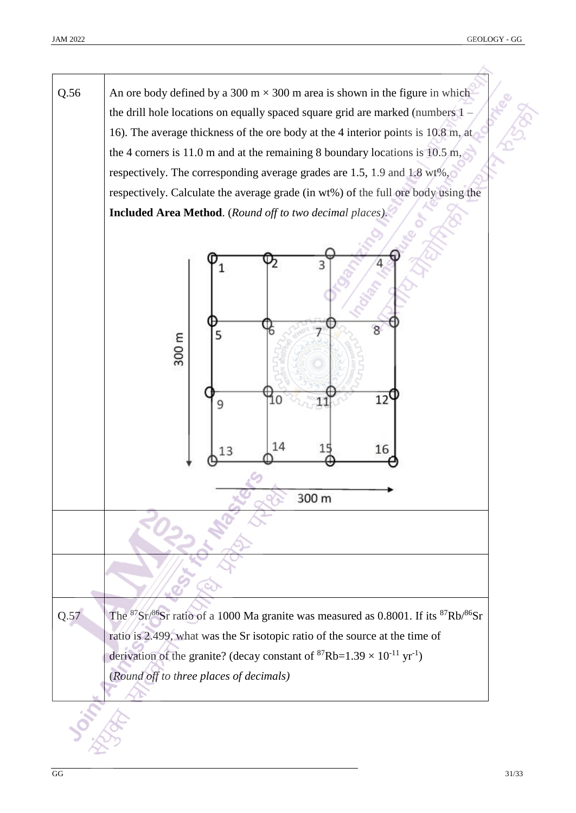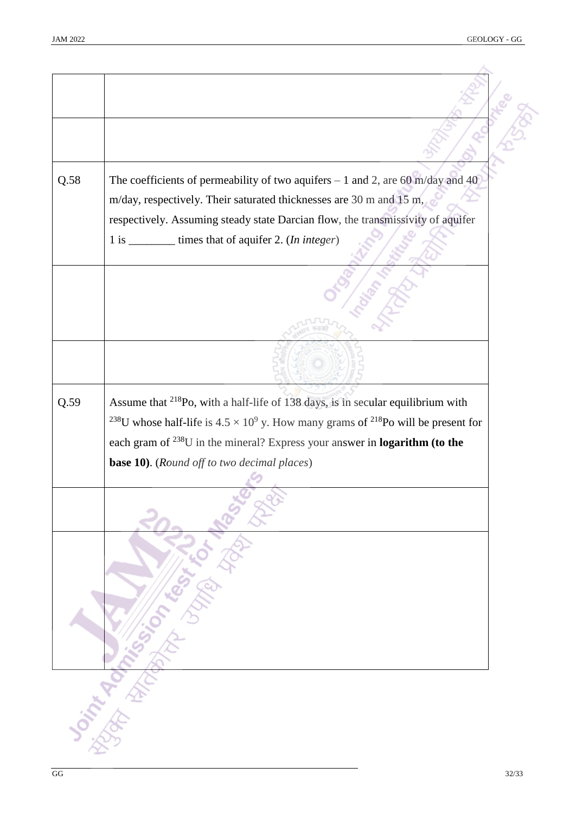| Q.58                                                                                                                                                                                                                                         | The coefficients of permeability of two aquifers $-1$ and 2, are 60 m/day and 40                                 |
|----------------------------------------------------------------------------------------------------------------------------------------------------------------------------------------------------------------------------------------------|------------------------------------------------------------------------------------------------------------------|
|                                                                                                                                                                                                                                              | m/day, respectively. Their saturated thicknesses are 30 m and 15 m,                                              |
|                                                                                                                                                                                                                                              | respectively. Assuming steady state Darcian flow, the transmissivity of aquifer                                  |
|                                                                                                                                                                                                                                              | 1 is _________ times that of aquifer 2. (In integer)                                                             |
|                                                                                                                                                                                                                                              |                                                                                                                  |
|                                                                                                                                                                                                                                              |                                                                                                                  |
|                                                                                                                                                                                                                                              |                                                                                                                  |
|                                                                                                                                                                                                                                              |                                                                                                                  |
| Q.59<br><b>Sorting Replacement of the Contractor Contractor Contractor Contractor Contractor Contractor Contractor Contractor Contractor Contractor Contractor Contractor Contractor Contractor Contractor Contractor Contractor Contrac</b> |                                                                                                                  |
|                                                                                                                                                                                                                                              | Assume that <sup>218</sup> Po, with a half-life of 138 days, is in secular equilibrium with                      |
|                                                                                                                                                                                                                                              | <sup>238</sup> U whose half-life is $4.5 \times 10^9$ y. How many grams of <sup>218</sup> Po will be present for |
|                                                                                                                                                                                                                                              | each gram of $^{238}$ U in the mineral? Express your answer in <b>logarithm</b> (to the                          |
|                                                                                                                                                                                                                                              | <b>base 10).</b> (Round off to two decimal places)                                                               |
|                                                                                                                                                                                                                                              |                                                                                                                  |
|                                                                                                                                                                                                                                              |                                                                                                                  |
|                                                                                                                                                                                                                                              |                                                                                                                  |
|                                                                                                                                                                                                                                              |                                                                                                                  |
|                                                                                                                                                                                                                                              |                                                                                                                  |
|                                                                                                                                                                                                                                              |                                                                                                                  |
|                                                                                                                                                                                                                                              |                                                                                                                  |
|                                                                                                                                                                                                                                              |                                                                                                                  |
|                                                                                                                                                                                                                                              |                                                                                                                  |
|                                                                                                                                                                                                                                              |                                                                                                                  |